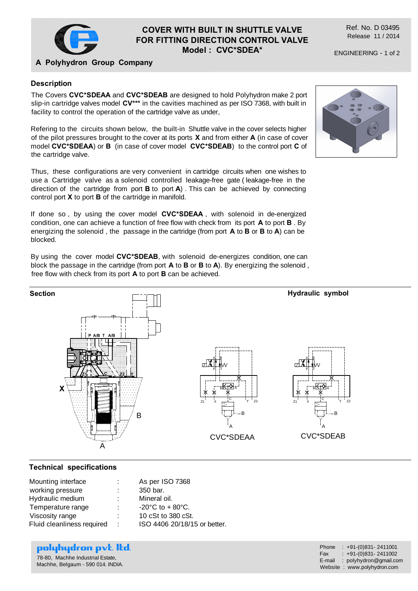

## **COVER WITH BUILT IN SHUTTLE VALVE FOR FITTING DIRECTION CONTROL VALVE Model : CVC\*SDEA\***

Ref. No. D 03495 Release 11 / 2014

ENGINEERING - 1 of 2

## **A Polyhydron Group Company**

### **Description**

The Covers **CVC\*SDEAA** and **CVC\*SDEAB** are designed to hold Polyhydron make 2 port slip-in cartridge valves model **CV\*\*\*** in the cavities machined as per ISO 7368, with built in facility to control the operation of the cartridge valve as under,

Refering to the circuits shown below, the built-in Shuttle valve in the cover selects higher of the pilot pressures brought to the cover at its ports **X** and from either **A** (in case of cover model **CVC\*SDEAA**) or **B** (in case of cover model **CVC\*SDEAB**) to the control port **C** of the cartridge valve.

Thus, these configurations are very convenient in cartridge circuits when one wishes to use a Cartridge valve as a solenoid controlled leakage-free gate ( leakage-free in the direction of the cartridge from port **B** to port **A**) . This can be achieved by connecting control port **X** to port **B** of the cartridge in manifold.

If done so , by using the cover model **CVC\*SDEAA** , with solenoid in de-energized condition, one can achieve a function of free flow with check from its port **A** to port **B** . By energizing the solenoid , the passage in the cartridge (from port **A** to **B** or **B** to **A**) can be blocked.

By using the cover model **CVC\*SDEAB**, with solenoid de-energizes condition, one can block the passage in the cartridge (from port **A** to **B** or **B** to **A**). By energizing the solenoid , free flow with check from its port **A** to port **B** can be achieved.



#### **Technical specifications**

| ÷  | As per ISO 7368                       |
|----|---------------------------------------|
|    | 350 bar.                              |
| ÷  | Mineral oil.                          |
| ÷  | $-20^{\circ}$ C to + 80 $^{\circ}$ C. |
| ٠. | 10 cSt to 380 cSt.                    |
| ÷  | ISO 4406 20/18/15 or better.          |
|    |                                       |

# polyhydron pvt. Itd.

78-80, Machhe Industrial Estate, Machhe, Belgaum - 590 014. INDIA. Phone : +91-(0)831-2411001<br>Fax : +91-(0)831-2411002  $: +91-(0)831-2411002$ E-mail : polyhydron@gmail.com Website : www.polyhydron.com